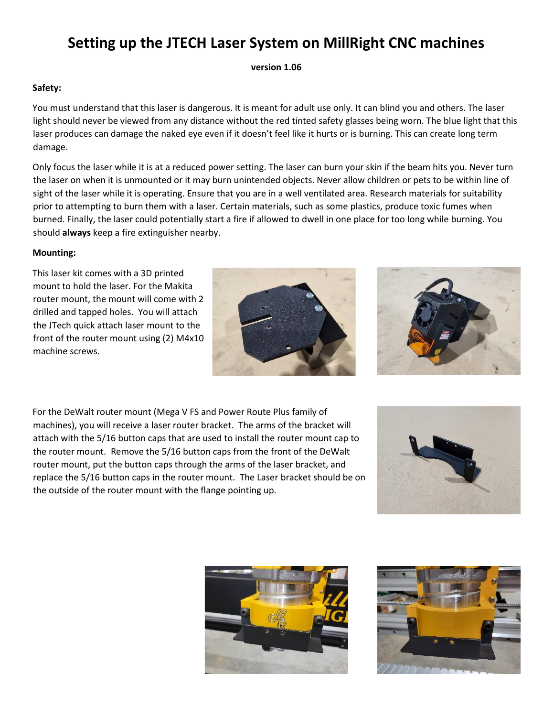# **Setting up the JTECH Laser System on MillRight CNC machines**

**version 1.06**

## **Safety:**

You must understand that this laser is dangerous. It is meant for adult use only. It can blind you and others. The laser light should never be viewed from any distance without the red tinted safety glasses being worn. The blue light that this laser produces can damage the naked eye even if it doesn't feel like it hurts or is burning. This can create long term damage.

Only focus the laser while it is at a reduced power setting. The laser can burn your skin if the beam hits you. Never turn the laser on when it is unmounted or it may burn unintended objects. Never allow children or pets to be within line of sight of the laser while it is operating. Ensure that you are in a well ventilated area. Research materials for suitability prior to attempting to burn them with a laser. Certain materials, such as some plastics, produce toxic fumes when burned. Finally, the laser could potentially start a fire if allowed to dwell in one place for too long while burning. You should **always** keep a fire extinguisher nearby.

## **Mounting:**

This laser kit comes with a 3D printed mount to hold the laser. For the Makita router mount, the mount will come with 2 drilled and tapped holes. You will attach the JTech quick attach laser mount to the front of the router mount using (2) M4x10 machine screws.





For the DeWalt router mount (Mega V FS and Power Route Plus family of machines), you will receive a laser router bracket. The arms of the bracket will attach with the 5/16 button caps that are used to install the router mount cap to the router mount. Remove the 5/16 button caps from the front of the DeWalt router mount, put the button caps through the arms of the laser bracket, and replace the 5/16 button caps in the router mount. The Laser bracket should be on the outside of the router mount with the flange pointing up.





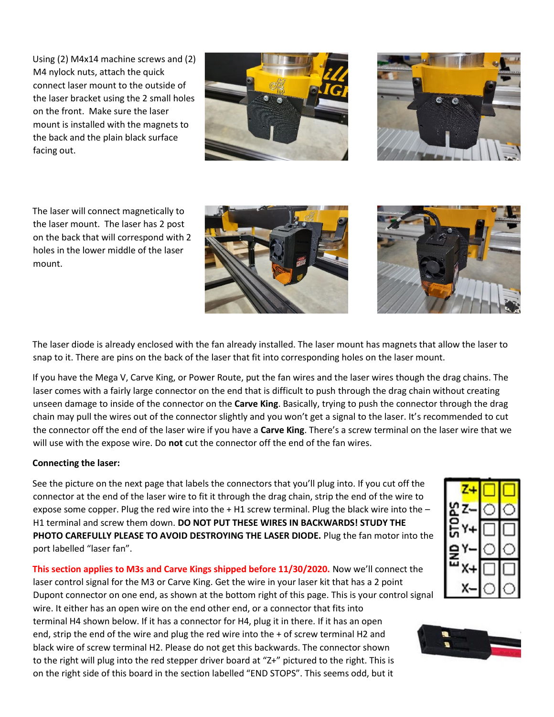Using (2) M4x14 machine screws and (2) M4 nylock nuts, attach the quick connect laser mount to the outside of the laser bracket using the 2 small holes on the front. Make sure the laser mount is installed with the magnets to the back and the plain black surface facing out.





The laser will connect magnetically to the laser mount. The laser has 2 post on the back that will correspond with 2 holes in the lower middle of the laser mount.

The laser diode is already enclosed with the fan already installed. The laser mount has magnets that allow the laser to snap to it. There are pins on the back of the laser that fit into corresponding holes on the laser mount.

If you have the Mega V, Carve King, or Power Route, put the fan wires and the laser wires though the drag chains. The laser comes with a fairly large connector on the end that is difficult to push through the drag chain without creating unseen damage to inside of the connector on the **Carve King**. Basically, trying to push the connector through the drag chain may pull the wires out of the connector slightly and you won't get a signal to the laser. It's recommended to cut the connector off the end of the laser wire if you have a **Carve King**. There's a screw terminal on the laser wire that we will use with the expose wire. Do **not** cut the connector off the end of the fan wires.

# **Connecting the laser:**

See the picture on the next page that labels the connectors that you'll plug into. If you cut off the connector at the end of the laser wire to fit it through the drag chain, strip the end of the wire to expose some copper. Plug the red wire into the  $+$  H1 screw terminal. Plug the black wire into the  $-$ H1 terminal and screw them down. **DO NOT PUT THESE WIRES IN BACKWARDS! STUDY THE PHOTO CAREFULLY PLEASE TO AVOID DESTROYING THE LASER DIODE.** Plug the fan motor into the port labelled "laser fan".

**This section applies to M3s and Carve Kings shipped before 11/30/2020.** Now we'll connect the laser control signal for the M3 or Carve King. Get the wire in your laser kit that has a 2 point Dupont connector on one end, as shown at the bottom right of this page. This is your control signal wire. It either has an open wire on the end other end, or a connector that fits into terminal H4 shown below. If it has a connector for H4, plug it in there. If it has an open end, strip the end of the wire and plug the red wire into the + of screw terminal H2 and black wire of screw terminal H2. Please do not get this backwards. The connector shown to the right will plug into the red stepper driver board at "Z+" pictured to the right. This is on the right side of this board in the section labelled "END STOPS". This seems odd, but it



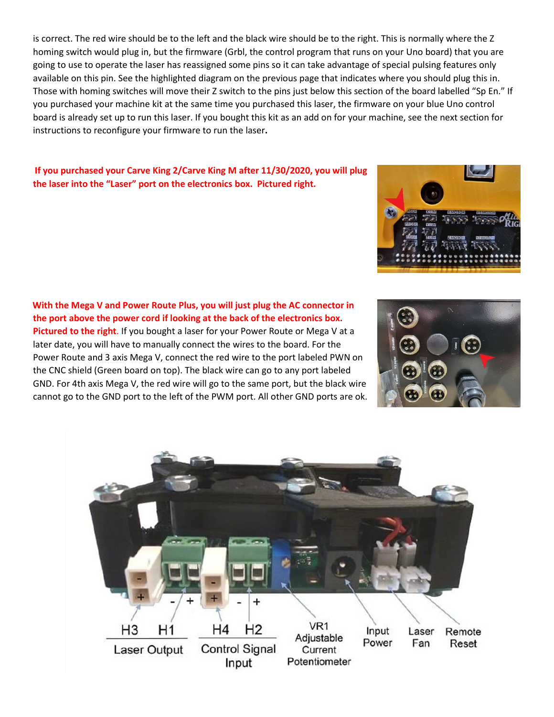is correct. The red wire should be to the left and the black wire should be to the right. This is normally where the Z homing switch would plug in, but the firmware (Grbl, the control program that runs on your Uno board) that you are going to use to operate the laser has reassigned some pins so it can take advantage of special pulsing features only available on this pin. See the highlighted diagram on the previous page that indicates where you should plug this in. Those with homing switches will move their Z switch to the pins just below this section of the board labelled "Sp En." If you purchased your machine kit at the same time you purchased this laser, the firmware on your blue Uno control board is already set up to run this laser. If you bought this kit as an add on for your machine, see the next section for instructions to reconfigure your firmware to run the laser**.** 

# **If you purchased your Carve King 2/Carve King M after 11/30/2020, you will plug the laser into the "Laser" port on the electronics box. Pictured right.**

**With the Mega V and Power Route Plus, you will just plug the AC connector in the port above the power cord if looking at the back of the electronics box. Pictured to the right**. If you bought a laser for your Power Route or Mega V at a later date, you will have to manually connect the wires to the board. For the Power Route and 3 axis Mega V, connect the red wire to the port labeled PWN on the CNC shield (Green board on top). The black wire can go to any port labeled GND. For 4th axis Mega V, the red wire will go to the same port, but the black wire cannot go to the GND port to the left of the PWM port. All other GND ports are ok.





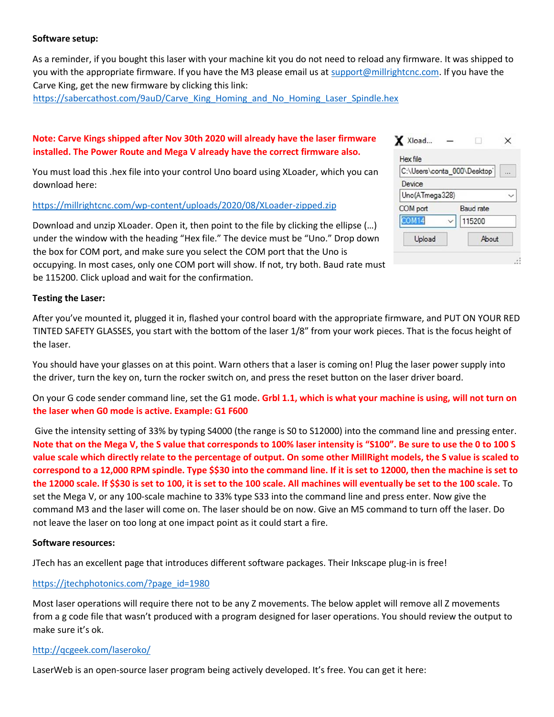## **Software setup:**

As a reminder, if you bought this laser with your machine kit you do not need to reload any firmware. It was shipped to you with the appropriate firmware. If you have the M3 please email us at [support@millrightcnc.com.](file:///E:/Acer%20Laptop/Work%20Files/Shipping%20Computer%20Documents/Misc/support@millrightcnc.com) If you have the Carve King, get the new firmware by clicking this link:

[https://sabercathost.com/9auD/Carve\\_King\\_Homing\\_and\\_No\\_Homing\\_Laser\\_Spindle.hex](https://sabercathost.com/9auD/Carve_King_Homing_and_No_Homing_Laser_Spindle.hex)

# **Note: Carve Kings shipped after Nov 30th 2020 will already have the laser firmware installed. The Power Route and Mega V already have the correct firmware also.**

You must load this .hex file into your control Uno board using XLoader, which you can download here:

## <https://millrightcnc.com/wp-content/uploads/2020/08/XLoader-zipped.zip>

be 115200. Click upload and wait for the confirmation.

Download and unzip XLoader. Open it, then point to the file by clicking the ellipse (…) under the window with the heading "Hex file." The device must be "Uno." Drop down the box for COM port, and make sure you select the COM port that the Uno is occupying. In most cases, only one COM port will show. If not, try both. Baud rate must

| C:\Users\conta_000\Desktop` |                  |
|-----------------------------|------------------|
| Device                      |                  |
| Uno(ATmega328)              |                  |
| COM port                    | <b>Baud</b> rate |
| COM <sub>14</sub>           | 115200           |
| Upload                      | About            |

 $\mathbf{v}$ 

## **Testing the Laser:**

After you've mounted it, plugged it in, flashed your control board with the appropriate firmware, and PUT ON YOUR RED TINTED SAFETY GLASSES, you start with the bottom of the laser 1/8" from your work pieces. That is the focus height of the laser.

You should have your glasses on at this point. Warn others that a laser is coming on! Plug the laser power supply into the driver, turn the key on, turn the rocker switch on, and press the reset button on the laser driver board.

On your G code sender command line, set the G1 mode**. Grbl 1.1, which is what your machine is using, will not turn on the laser when G0 mode is active. Example: G1 F600**

Give the intensity setting of 33% by typing S4000 (the range is S0 to S12000) into the command line and pressing enter. **Note that on the Mega V, the S value that corresponds to 100% laser intensity is "S100". Be sure to use the 0 to 100 S value scale which directly relate to the percentage of output. On some other MillRight models, the S value is scaled to correspond to a 12,000 RPM spindle. Type \$\$30 into the command line. If it is set to 12000, then the machine is set to the 12000 scale. If \$\$30 is set to 100, it is set to the 100 scale. All machines will eventually be set to the 100 scale.** To set the Mega V, or any 100-scale machine to 33% type S33 into the command line and press enter. Now give the command M3 and the laser will come on. The laser should be on now. Give an M5 command to turn off the laser. Do not leave the laser on too long at one impact point as it could start a fire.

#### **Software resources:**

JTech has an excellent page that introduces different software packages. Their Inkscape plug-in is free!

#### [https://jtechphotonics.com/?page\\_id=1980](https://jtechphotonics.com/?page_id=1980)

Most laser operations will require there not to be any Z movements. The below applet will remove all Z movements from a g code file that wasn't produced with a program designed for laser operations. You should review the output to make sure it's ok.

#### <http://qcgeek.com/laseroko/>

LaserWeb is an open-source laser program being actively developed. It's free. You can get it here: